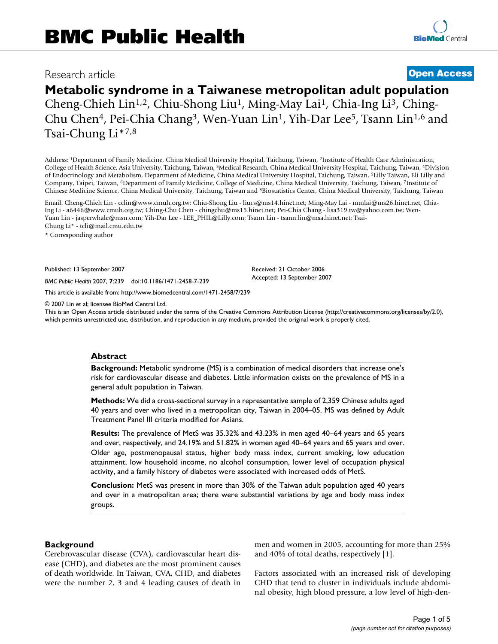# **Metabolic syndrome in a Taiwanese metropolitan adult population**

Cheng-Chieh Lin1,2, Chiu-Shong Liu1, Ming-May Lai1, Chia-Ing Li3, Ching-Chu Chen4, Pei-Chia Chang3, Wen-Yuan Lin1, Yih-Dar Lee5, Tsann Lin1,6 and Tsai-Chung Li\*7,8

Address: 1Department of Family Medicine, China Medical University Hospital, Taichung, Taiwan, 2Institute of Health Care Administration, College of Health Science, Asia University, Taichung, Taiwan, 3Medical Research, China Medical University Hospital, Taichung, Taiwan, 4Division of Endocrinology and Metabolism, Department of Medicine, China Medical University Hospital, Taichung, Taiwan, 5Lilly Taiwan, Eli Lilly and Company, Taipei, Taiwan, 6Department of Family Medicine, College of Medicine, China Medical University, Taichung, Taiwan, 7Institute of Chinese Medicine Science, China Medical University, Taichung, Taiwan and 8Biostatistics Center, China Medical University, Taichung, Taiwan

Email: Cheng-Chieh Lin - cclin@www.cmuh.org.tw; Chiu-Shong Liu - liucs@ms14.hinet.net; Ming-May Lai - mmlai@ms26.hinet.net; Chia-Ing Li - a6446@www.cmuh.org.tw; Ching-Chu Chen - chingchu@ms15.hinet.net; Pei-Chia Chang - lisa319.tw@yahoo.com.tw; Wen-Yuan Lin - jasperwhale@msn.com; Yih-Dar Lee - LEE\_PHIL@Lilly.com; Tsann Lin - tsann.lin@msa.hinet.net; Tsai-Chung Li\* - tcli@mail.cmu.edu.tw

\* Corresponding author

Published: 13 September 2007

*BMC Public Health* 2007, **7**:239 doi:10.1186/1471-2458-7-239

[This article is available from: http://www.biomedcentral.com/1471-2458/7/239](http://www.biomedcentral.com/1471-2458/7/239)

© 2007 Lin et al; licensee BioMed Central Ltd.

This is an Open Access article distributed under the terms of the Creative Commons Attribution License [\(http://creativecommons.org/licenses/by/2.0\)](http://creativecommons.org/licenses/by/2.0), which permits unrestricted use, distribution, and reproduction in any medium, provided the original work is properly cited.

Received: 21 October 2006 Accepted: 13 September 2007

#### **Abstract**

**Background:** Metabolic syndrome (MS) is a combination of medical disorders that increase one's risk for cardiovascular disease and diabetes. Little information exists on the prevalence of MS in a general adult population in Taiwan.

**Methods:** We did a cross-sectional survey in a representative sample of 2,359 Chinese adults aged 40 years and over who lived in a metropolitan city, Taiwan in 2004–05. MS was defined by Adult Treatment Panel III criteria modified for Asians.

**Results:** The prevalence of MetS was 35.32% and 43.23% in men aged 40–64 years and 65 years and over, respectively, and 24.19% and 51.82% in women aged 40–64 years and 65 years and over. Older age, postmenopausal status, higher body mass index, current smoking, low education attainment, low household income, no alcohol consumption, lower level of occupation physical activity, and a family history of diabetes were associated with increased odds of MetS.

**Conclusion:** MetS was present in more than 30% of the Taiwan adult population aged 40 years and over in a metropolitan area; there were substantial variations by age and body mass index groups.

#### **Background**

Cerebrovascular disease (CVA), cardiovascular heart disease (CHD), and diabetes are the most prominent causes of death worldwide. In Taiwan, CVA, CHD, and diabetes were the number 2, 3 and 4 leading causes of death in men and women in 2005, accounting for more than 25% and 40% of total deaths, respectively [1].

Factors associated with an increased risk of developing CHD that tend to cluster in individuals include abdominal obesity, high blood pressure, a low level of high-den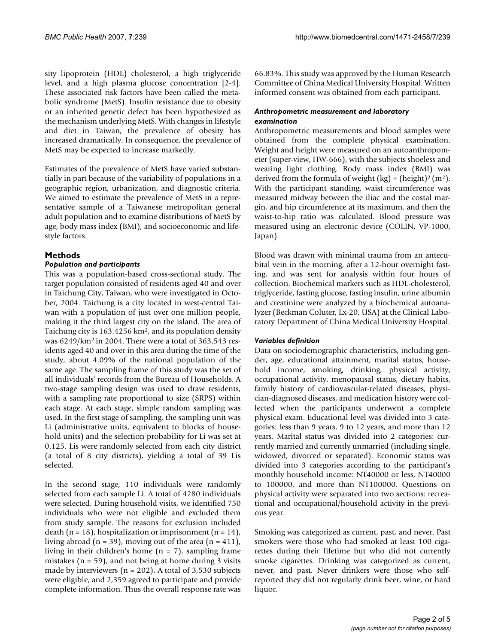sity lipoprotein (HDL) cholesterol, a high triglyceride level, and a high plasma glucose concentration [2-4]. These associated risk factors have been called the metabolic syndrome (MetS). Insulin resistance due to obesity or an inherited genetic defect has been hypothesized as the mechanism underlying MetS. With changes in lifestyle and diet in Taiwan, the prevalence of obesity has increased dramatically. In consequence, the prevalence of MetS may be expected to increase markedly.

Estimates of the prevalence of MetS have varied substantially in part because of the variability of populations in a geographic region, urbanization, and diagnostic criteria. We aimed to estimate the prevalence of MetS in a representative sample of a Taiwanese metropolitan general adult population and to examine distributions of MetS by age, body mass index (BMI), and socioeconomic and lifestyle factors.

# **Methods**

#### *Population and participants*

This was a population-based cross-sectional study. The target population consisted of residents aged 40 and over in Taichung City, Taiwan, who were investigated in October, 2004. Taichung is a city located in west-central Taiwan with a population of just over one million people, making it the third largest city on the island. The area of Taichung city is 163.4256 km2, and its population density was 6249/km2 in 2004. There were a total of 363,543 residents aged 40 and over in this area during the time of the study, about 4.09% of the national population of the same age. The sampling frame of this study was the set of all individuals' records from the Bureau of Households. A two-stage sampling design was used to draw residents, with a sampling rate proportional to size (SRPS) within each stage. At each stage, simple random sampling was used. In the first stage of sampling, the sampling unit was Li (administrative units, equivalent to blocks of household units) and the selection probability for Li was set at 0.125. Lis were randomly selected from each city district (a total of 8 city districts), yielding a total of 39 Lis selected.

In the second stage, 110 individuals were randomly selected from each sample Li. A total of 4280 individuals were selected. During household visits, we identified 750 individuals who were not eligible and excluded them from study sample. The reasons for exclusion included death (n = 18), hospitalization or imprisonment (n = 14), living abroad  $(n = 39)$ , moving out of the area  $(n = 411)$ , living in their children's home (n = 7), sampling frame mistakes ( $n = 59$ ), and not being at home during 3 visits made by interviewers ( $n = 202$ ). A total of 3,530 subjects were eligible, and 2,359 agreed to participate and provide complete information. Thus the overall response rate was 66.83%. This study was approved by the Human Research Committee of China Medical University Hospital. Written informed consent was obtained from each participant.

#### *Anthropometric measurement and laboratory examination*

Anthropometric measurements and blood samples were obtained from the complete physical examination. Weight and height were measured on an autoanthropometer (super-view, HW-666), with the subjects shoeless and wearing light clothing. Body mass index (BMI) was derived from the formula of weight (kg) ÷ (height)<sup>2</sup> (m<sup>2</sup>). With the participant standing, waist circumference was measured midway between the iliac and the costal margin, and hip circumference at its maximum, and then the waist-to-hip ratio was calculated. Blood pressure was measured using an electronic device (COLIN, VP-1000, Japan).

Blood was drawn with minimal trauma from an antecubital vein in the morning, after a 12-hour overnight fasting, and was sent for analysis within four hours of collection. Biochemical markers such as HDL-cholesterol, triglyceride, fasting glucose, fasting insulin, urine albumin and creatinine were analyzed by a biochemical autoanalyzer (Beckman Coluter, Lx-20, USA) at the Clinical Laboratory Department of China Medical University Hospital.

### *Variables definition*

Data on sociodemographic characteristics, including gender, age, educational attainment, marital status, household income, smoking, drinking, physical activity, occupational activity, menopausal status, dietary habits, family history of cardiovascular-related diseases, physician-diagnosed diseases, and medication history were collected when the participants underwent a complete physical exam. Educational level was divided into 3 categories: less than 9 years, 9 to 12 years, and more than 12 years. Marital status was divided into 2 categories: currently married and currently unmarried (including single, widowed, divorced or separated). Economic status was divided into 3 categories according to the participant's monthly household income: NT40000 or less, NT40000 to 100000, and more than NT100000. Questions on physical activity were separated into two sections: recreational and occupational/household activity in the previous year.

Smoking was categorized as current, past, and never. Past smokers were those who had smoked at least 100 cigarettes during their lifetime but who did not currently smoke cigarettes. Drinking was categorized as current, never, and past. Never drinkers were those who selfreported they did not regularly drink beer, wine, or hard liquor.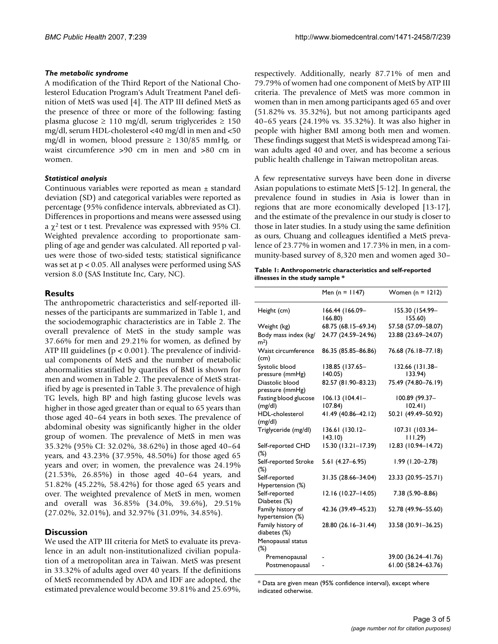### *The metabolic syndrome*

A modification of the Third Report of the National Cholesterol Education Program's Adult Treatment Panel definition of MetS was used [4]. The ATP III defined MetS as the presence of three or more of the following: fasting plasma glucose ≥ 110 mg/dl, serum triglycerides ≥ 150 mg/dl, serum HDL-cholesterol <40 mg/dl in men and <50 mg/dl in women, blood pressure  $\geq 130/85$  mmHg, or waist circumference >90 cm in men and >80 cm in women.

# *Statistical analysis*

Continuous variables were reported as mean ± standard deviation (SD) and categorical variables were reported as percentage (95% confidence intervals, abbreviated as CI). Differences in proportions and means were assessed using a  $\chi^2$  test or t test. Prevalence was expressed with 95% CI. Weighted prevalence according to proportionate sampling of age and gender was calculated. All reported p values were those of two-sided tests; statistical significance was set at p < 0.05. All analyses were performed using SAS version 8.0 (SAS Institute Inc, Cary, NC).

# **Results**

The anthropometric characteristics and self-reported illnesses of the participants are summarized in Table 1, and the sociodemographic characteristics are in Table 2. The overall prevalence of MetS in the study sample was 37.66% for men and 29.21% for women, as defined by ATP III guidelines (p < 0.001). The prevalence of individual components of MetS and the number of metabolic abnormalities stratified by quartiles of BMI is shown for men and women in Table 2. The prevalence of MetS stratified by age is presented in Table 3. The prevalence of high TG levels, high BP and high fasting glucose levels was higher in those aged greater than or equal to 65 years than those aged 40–64 years in both sexes. The prevalence of abdominal obesity was significantly higher in the older group of women. The prevalence of MetS in men was 35.32% (95% CI: 32.02%, 38.62%) in those aged 40–64 years, and 43.23% (37.95%, 48.50%) for those aged 65 years and over; in women, the prevalence was 24.19% (21.53%, 26.85%) in those aged 40–64 years, and 51.82% (45.22%, 58.42%) for those aged 65 years and over. The weighted prevalence of MetS in men, women and overall was 36.85% (34.0%, 39.6%), 29.51% (27.02%, 32.01%), and 32.97% (31.09%, 34.85%).

# **Discussion**

We used the ATP III criteria for MetS to evaluate its prevalence in an adult non-institutionalized civilian population of a metropolitan area in Taiwan. MetS was present in 33.32% of adults aged over 40 years. If the definitions of MetS recommended by ADA and IDF are adopted, the estimated prevalence would become 39.81% and 25.69%,

respectively. Additionally, nearly 87.71% of men and 79.79% of women had one component of MetS by ATP III criteria. The prevalence of MetS was more common in women than in men among participants aged 65 and over (51.82% vs. 35.32%), but not among participants aged 40–65 years (24.19% vs. 35.32%). It was also higher in people with higher BMI among both men and women. These findings suggest that MetS is widespread among Taiwan adults aged 40 and over, and has become a serious public health challenge in Taiwan metropolitan areas.

A few representative surveys have been done in diverse Asian populations to estimate MetS [5-12]. In general, the prevalence found in studies in Asia is lower than in regions that are more economically developed [13-17], and the estimate of the prevalence in our study is closer to those in later studies. In a study using the same definition as ours, Chuang and colleagues identified a MetS prevalence of 23.77% in women and 17.73% in men, in a community-based survey of 8,320 men and women aged 30–

| Table 1: Anthropometric characteristics and self-reported |
|-----------------------------------------------------------|
| illnesses in the study sample *                           |

|                                        | Men (n = $1147$ )          | Women $(n = 1212)$         |  |
|----------------------------------------|----------------------------|----------------------------|--|
| Height (cm)                            | 166.44 (166.09-<br>166.80) | 155.30 (154.99-<br>155.60) |  |
| Weight (kg)                            | 68.75 (68.15-69.34)        | 57.58 (57.09-58.07)        |  |
| Body mass index (kg/<br>m <sup>2</sup> | 24.77 (24.59-24.96)        | 23.88 (23.69-24.07)        |  |
| Waist circumference<br>(cm)            | 86.35 (85.85-86.86)        | 76.68 (76.18-77.18)        |  |
| Systolic blood<br>pressure (mmHg)      | 138.85 (137.65-<br>140.05  | 132.66 (131.38-<br>133.94) |  |
| Diastolic blood<br>pressure (mmHg)     | 82.57 (81.90-83.23)        | 75.49 (74.80-76.19)        |  |
| Fasting blood glucose<br>(mg/dl)       | 106.13 (104.41–<br>107.84) | 100.89 (99.37-<br>102.41)  |  |
| HDL-cholesterol<br>(mg/dl)             | 41.49 (40.86-42.12)        | 50.21 (49.49-50.92)        |  |
| Triglyceride (mg/dl)                   | 136.61 (130.12-<br>143.10  | 107.31 (103.34<br>111.29   |  |
| Self-reported CHD<br>$(\%)$            | 15.30 (13.21-17.39)        | 12.83 (10.94-14.72)        |  |
| Self-reported Stroke<br>$(\%)$         | $5.61(4.27 - 6.95)$        | $1.99(1.20 - 2.78)$        |  |
| Self-reported<br>Hypertension (%)      | 31.35 (28.66-34.04)        | 23.33 (20.95-25.71)        |  |
| Self-reported<br>Diabetes (%)          | 12.16 (10.27-14.05)        | 7.38 (5.90-8.86)           |  |
| Family history of<br>hypertension (%)  | 42.36 (39.49-45.23)        | 52.78 (49.96-55.60)        |  |
| Family history of<br>diabetes (%)      | 28.80 (26.16-31.44)        | 33.58 (30.91-36.25)        |  |
| Menopausal status<br>$(\%)$            |                            |                            |  |
| Premenopausal                          |                            | 39.00 (36.24-41.76)        |  |
| Postmenopausal                         |                            | 61.00 (58.24-63.76)        |  |

\* Data are given mean (95% confidence interval), except where indicated otherwise.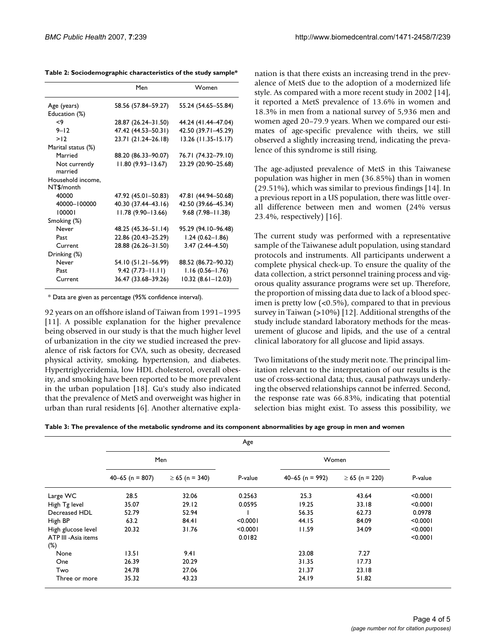**Table 2: Sociodemographic characteristics of the study sample\***

|                    | Men                   | Women                 |  |
|--------------------|-----------------------|-----------------------|--|
| Age (years)        | 58.56 (57.84-59.27)   | 55.24 (54.65-55.84)   |  |
| Education (%)      |                       |                       |  |
| <9                 | 28.87 (26.24-31.50)   | 44.24 (41.44-47.04)   |  |
| $9 - 12$           | 47.42 (44.53-50.31)   | 42.50 (39.71-45.29)   |  |
| >12                | 23.71 (21.24-26.18)   | $13.26$ (11.35-15.17) |  |
| Marital status (%) |                       |                       |  |
| Married            | 88.20 (86.33-90.07)   | 76.71 (74.32-79.10)   |  |
| Not currently      | $11.80(9.93 - 13.67)$ | 23.29 (20.90-25.68)   |  |
| married            |                       |                       |  |
| Household income,  |                       |                       |  |
| NT\$/month         |                       |                       |  |
| 40000              | 47.92 (45.01-50.83)   | 47.81 (44.94–50.68)   |  |
| 40000-100000       | 40.30 (37.44-43.16)   | 42.50 (39.66-45.34)   |  |
| 100001             | $11.78(9.90 - 13.66)$ | $9.68(7.98 - 11.38)$  |  |
| Smoking (%)        |                       |                       |  |
| Never              | 48.25 (45.36–51.14)   | 95.29 (94.10-96.48)   |  |
| Past               | 22.86 (20.43-25.29)   | $1.24(0.62 - 1.86)$   |  |
| Current            | 28.88 (26.26-31.50)   | $3.47(2.44 - 4.50)$   |  |
| Drinking (%)       |                       |                       |  |
| Never              | 54.10 (51.21–56.99)   | 88.52 (86.72-90.32)   |  |
| Past               | $9.42(7.73 - 11.11)$  | $1.16(0.56 - 1.76)$   |  |
| Current            | 36.47 (33.68-39.26)   | $10.32(8.61 - 12.03)$ |  |

\* Data are given as percentage (95% confidence interval).

92 years on an offshore island of Taiwan from 1991–1995 [11]. A possible explanation for the higher prevalence being observed in our study is that the much higher level of urbanization in the city we studied increased the prevalence of risk factors for CVA, such as obesity, decreased physical activity, smoking, hypertension, and diabetes. Hypertriglyceridemia, low HDL cholesterol, overall obesity, and smoking have been reported to be more prevalent in the urban population [18]. Gu's study also indicated that the prevalence of MetS and overweight was higher in urban than rural residents [6]. Another alternative explanation is that there exists an increasing trend in the prevalence of MetS due to the adoption of a modernized life style. As compared with a more recent study in 2002 [14], it reported a MetS prevalence of 13.6% in women and 18.3% in men from a national survey of 5,936 men and women aged 20–79.9 years. When we compared our estimates of age-specific prevalence with theirs, we still observed a slightly increasing trend, indicating the prevalence of this syndrome is still rising.

The age-adjusted prevalence of MetS in this Taiwanese population was higher in men (36.85%) than in women (29.51%), which was similar to previous findings [14]. In a previous report in a US population, there was little overall difference between men and women (24% versus 23.4%, respectively) [16].

The current study was performed with a representative sample of the Taiwanese adult population, using standard protocols and instruments. All participants underwent a complete physical check-up. To ensure the quality of the data collection, a strict personnel training process and vigorous quality assurance programs were set up. Therefore, the proportion of missing data due to lack of a blood specimen is pretty low (<0.5%), compared to that in previous survey in Taiwan (>10%) [12]. Additional strengths of the study include standard laboratory methods for the measurement of glucose and lipids, and the use of a central clinical laboratory for all glucose and lipid assays.

Two limitations of the study merit note. The principal limitation relevant to the interpretation of our results is the use of cross-sectional data; thus, causal pathways underlying the observed relationships cannot be inferred. Second, the response rate was 66.83%, indicating that potential selection bias might exist. To assess this possibility, we

| Table 3: The prevalence of the metabolic syndrome and its component abnormalities by age group in men and women |  |  |  |
|-----------------------------------------------------------------------------------------------------------------|--|--|--|
|-----------------------------------------------------------------------------------------------------------------|--|--|--|

|                      | Age                 |                     |          |                     |                     |          |
|----------------------|---------------------|---------------------|----------|---------------------|---------------------|----------|
|                      | Men                 |                     | Women    |                     |                     |          |
|                      | $40 - 65$ (n = 807) | $\geq 65$ (n = 340) | P-value  | $40 - 65$ (n = 992) | $\geq 65$ (n = 220) | P-value  |
| Large WC             | 28.5                | 32.06               | 0.2563   | 25.3                | 43.64               | < 0.0001 |
| High Tg level        | 35.07               | 29.12               | 0.0595   | 19.25               | 33.18               | < 0.0001 |
| Decreased HDL        | 52.79               | 52.94               |          | 56.35               | 62.73               | 0.0978   |
| High BP              | 63.2                | 84.41               | < 0.0001 | 44.15               | 84.09               | < 0.0001 |
| High glucose level   | 20.32               | 31.76               | < 0.0001 | 11.59               | 34.09               | < 0.0001 |
| ATP III - Asia items |                     |                     | 0.0182   |                     |                     | < 0.0001 |
| $(\%)$               |                     |                     |          |                     |                     |          |
| None                 | 13.51               | 9.41                |          | 23.08               | 7.27                |          |
| One                  | 26.39               | 20.29               |          | 31.35               | 17.73               |          |
| Two                  | 24.78               | 27.06               |          | 21.37               | 23.18               |          |
| Three or more        | 35.32               | 43.23               |          | 24.19               | 51.82               |          |